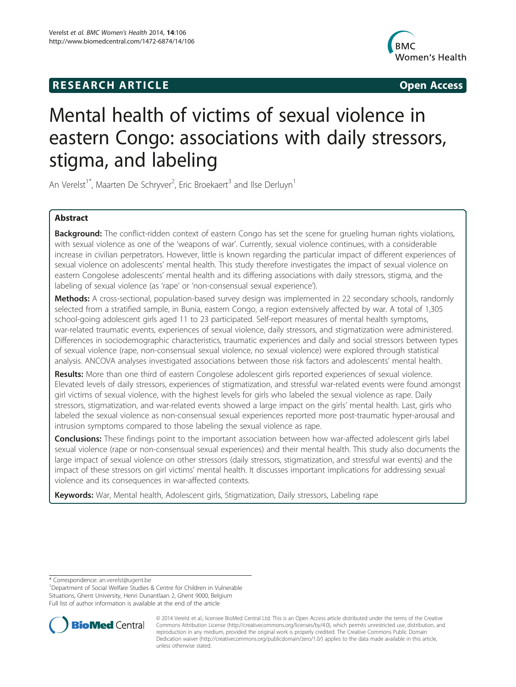## **RESEARCH ARTICLE CONSUMING A RESEARCH ARTICLE**



# Mental health of victims of sexual violence in eastern Congo: associations with daily stressors, stigma, and labeling

An Verelst<sup>1\*</sup>, Maarten De Schryver<sup>2</sup>, Eric Broekaert<sup>3</sup> and Ilse Derluyn<sup>1</sup>

## Abstract

Background: The conflict-ridden context of eastern Congo has set the scene for grueling human rights violations, with sexual violence as one of the 'weapons of war'. Currently, sexual violence continues, with a considerable increase in civilian perpetrators. However, little is known regarding the particular impact of different experiences of sexual violence on adolescents' mental health. This study therefore investigates the impact of sexual violence on eastern Congolese adolescents' mental health and its differing associations with daily stressors, stigma, and the labeling of sexual violence (as 'rape' or 'non-consensual sexual experience').

Methods: A cross-sectional, population-based survey design was implemented in 22 secondary schools, randomly selected from a stratified sample, in Bunia, eastern Congo, a region extensively affected by war. A total of 1,305 school-going adolescent girls aged 11 to 23 participated. Self-report measures of mental health symptoms, war-related traumatic events, experiences of sexual violence, daily stressors, and stigmatization were administered. Differences in sociodemographic characteristics, traumatic experiences and daily and social stressors between types of sexual violence (rape, non-consensual sexual violence, no sexual violence) were explored through statistical analysis. ANCOVA analyses investigated associations between those risk factors and adolescents' mental health.

Results: More than one third of eastern Congolese adolescent girls reported experiences of sexual violence. Elevated levels of daily stressors, experiences of stigmatization, and stressful war-related events were found amongst girl victims of sexual violence, with the highest levels for girls who labeled the sexual violence as rape. Daily stressors, stigmatization, and war-related events showed a large impact on the girls' mental health. Last, girls who labeled the sexual violence as non-consensual sexual experiences reported more post-traumatic hyper-arousal and intrusion symptoms compared to those labeling the sexual violence as rape.

**Conclusions:** These findings point to the important association between how war-affected adolescent girls label sexual violence (rape or non-consensual sexual experiences) and their mental health. This study also documents the large impact of sexual violence on other stressors (daily stressors, stigmatization, and stressful war events) and the impact of these stressors on girl victims' mental health. It discusses important implications for addressing sexual violence and its consequences in war-affected contexts.

Keywords: War, Mental health, Adolescent girls, Stigmatization, Daily stressors, Labeling rape

<sup>&</sup>lt;sup>1</sup>Department of Social Welfare Studies & Centre for Children in Vulnerable Situations, Ghent University, Henri Dunantlaan 2, Ghent 9000, Belgium Full list of author information is available at the end of the article



<sup>© 2014</sup> Verelst et al.; licensee BioMed Central Ltd. This is an Open Access article distributed under the terms of the Creative Commons Attribution License [\(http://creativecommons.org/licenses/by/4.0\)](http://creativecommons.org/licenses/by/4.0), which permits unrestricted use, distribution, and reproduction in any medium, provided the original work is properly credited. The Creative Commons Public Domain Dedication waiver [\(http://creativecommons.org/publicdomain/zero/1.0/](http://creativecommons.org/publicdomain/zero/1.0/)) applies to the data made available in this article, unless otherwise stated.

<sup>\*</sup> Correspondence: [an.verelst@ugent.be](mailto:an.verelst@ugent.be) <sup>1</sup>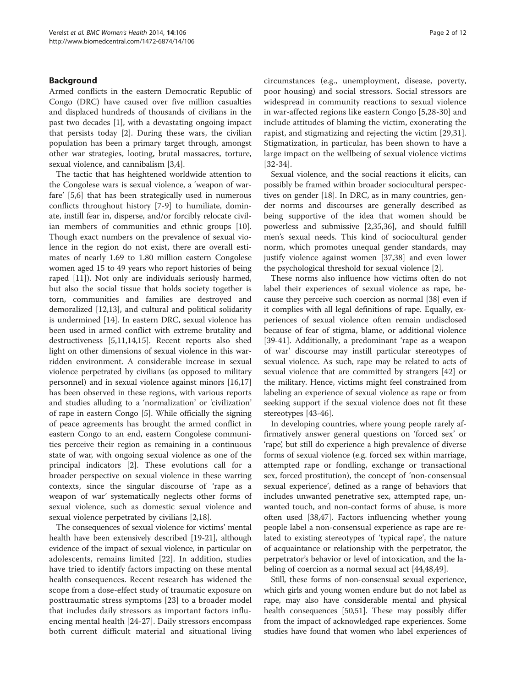#### Background

Armed conflicts in the eastern Democratic Republic of Congo (DRC) have caused over five million casualties and displaced hundreds of thousands of civilians in the past two decades [[1\]](#page-10-0), with a devastating ongoing impact that persists today [\[2](#page-10-0)]. During these wars, the civilian population has been a primary target through, amongst other war strategies, looting, brutal massacres, torture, sexual violence, and cannibalism [\[3,4](#page-10-0)].

The tactic that has heightened worldwide attention to the Congolese wars is sexual violence, a 'weapon of warfare' [\[5,6](#page-10-0)] that has been strategically used in numerous conflicts throughout history [[7-9](#page-10-0)] to humiliate, dominate, instill fear in, disperse, and/or forcibly relocate civilian members of communities and ethnic groups [\[10](#page-10-0)]. Though exact numbers on the prevalence of sexual violence in the region do not exist, there are overall estimates of nearly 1.69 to 1.80 million eastern Congolese women aged 15 to 49 years who report histories of being raped [\[11](#page-10-0)]). Not only are individuals seriously harmed, but also the social tissue that holds society together is torn, communities and families are destroyed and demoralized [[12](#page-10-0),[13](#page-10-0)], and cultural and political solidarity is undermined [[14\]](#page-10-0). In eastern DRC, sexual violence has been used in armed conflict with extreme brutality and destructiveness [\[5,11,14,15\]](#page-10-0). Recent reports also shed light on other dimensions of sexual violence in this warridden environment. A considerable increase in sexual violence perpetrated by civilians (as opposed to military personnel) and in sexual violence against minors [[16](#page-10-0),[17](#page-10-0)] has been observed in these regions, with various reports and studies alluding to a 'normalization' or 'civilization' of rape in eastern Congo [\[5](#page-10-0)]. While officially the signing of peace agreements has brought the armed conflict in eastern Congo to an end, eastern Congolese communities perceive their region as remaining in a continuous state of war, with ongoing sexual violence as one of the principal indicators [[2\]](#page-10-0). These evolutions call for a broader perspective on sexual violence in these warring contexts, since the singular discourse of 'rape as a weapon of war' systematically neglects other forms of sexual violence, such as domestic sexual violence and sexual violence perpetrated by civilians [\[2,18](#page-10-0)].

The consequences of sexual violence for victims' mental health have been extensively described [\[19-21](#page-10-0)], although evidence of the impact of sexual violence, in particular on adolescents, remains limited [[22\]](#page-10-0). In addition, studies have tried to identify factors impacting on these mental health consequences. Recent research has widened the scope from a dose-effect study of traumatic exposure on posttraumatic stress symptoms [\[23](#page-10-0)] to a broader model that includes daily stressors as important factors influencing mental health [[24-27\]](#page-10-0). Daily stressors encompass both current difficult material and situational living circumstances (e.g., unemployment, disease, poverty, poor housing) and social stressors. Social stressors are widespread in community reactions to sexual violence in war-affected regions like eastern Congo [\[5](#page-10-0),[28-30](#page-10-0)] and include attitudes of blaming the victim, exonerating the rapist, and stigmatizing and rejecting the victim [[29,31](#page-10-0)]. Stigmatization, in particular, has been shown to have a large impact on the wellbeing of sexual violence victims [[32](#page-10-0)-[34\]](#page-10-0).

Sexual violence, and the social reactions it elicits, can possibly be framed within broader sociocultural perspectives on gender [[18\]](#page-10-0). In DRC, as in many countries, gender norms and discourses are generally described as being supportive of the idea that women should be powerless and submissive [[2,35,36\]](#page-10-0), and should fulfill men's sexual needs. This kind of sociocultural gender norm, which promotes unequal gender standards, may justify violence against women [\[37,38\]](#page-10-0) and even lower the psychological threshold for sexual violence [[2\]](#page-10-0).

These norms also influence how victims often do not label their experiences of sexual violence as rape, because they perceive such coercion as normal [[38\]](#page-10-0) even if it complies with all legal definitions of rape. Equally, experiences of sexual violence often remain undisclosed because of fear of stigma, blame, or additional violence [[39-41](#page-10-0)]. Additionally, a predominant 'rape as a weapon of war' discourse may instill particular stereotypes of sexual violence. As such, rape may be related to acts of sexual violence that are committed by strangers [[42\]](#page-10-0) or the military. Hence, victims might feel constrained from labeling an experience of sexual violence as rape or from seeking support if the sexual violence does not fit these stereotypes [\[43](#page-10-0)-[46\]](#page-10-0).

In developing countries, where young people rarely affirmatively answer general questions on 'forced sex' or 'rape', but still do experience a high prevalence of diverse forms of sexual violence (e.g. forced sex within marriage, attempted rape or fondling, exchange or transactional sex, forced prostitution), the concept of 'non-consensual sexual experience', defined as a range of behaviors that includes unwanted penetrative sex, attempted rape, unwanted touch, and non-contact forms of abuse, is more often used [[38,47\]](#page-10-0). Factors influencing whether young people label a non-consensual experience as rape are related to existing stereotypes of 'typical rape', the nature of acquaintance or relationship with the perpetrator, the perpetrator's behavior or level of intoxication, and the labeling of coercion as a normal sexual act [\[44,48](#page-10-0)[,49](#page-11-0)].

Still, these forms of non-consensual sexual experience, which girls and young women endure but do not label as rape, may also have considerable mental and physical health consequences [[50,51](#page-11-0)]. These may possibly differ from the impact of acknowledged rape experiences. Some studies have found that women who label experiences of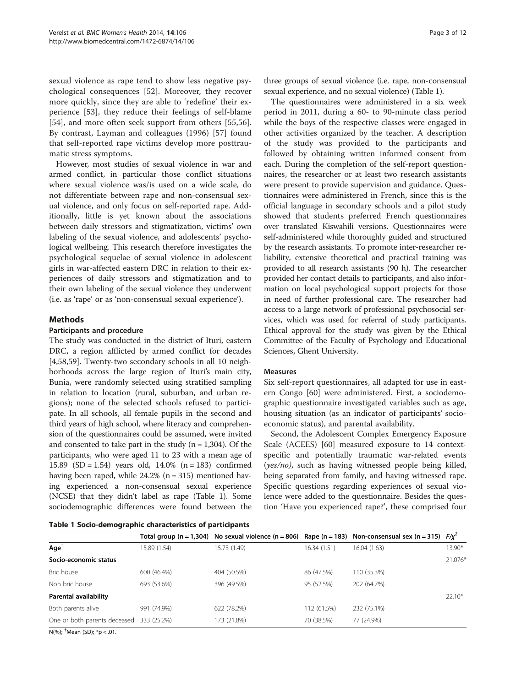sexual violence as rape tend to show less negative psychological consequences [\[52](#page-11-0)]. Moreover, they recover more quickly, since they are able to 'redefine' their experience [[53\]](#page-11-0), they reduce their feelings of self-blame [[54\]](#page-11-0), and more often seek support from others [[55,56](#page-11-0)]. By contrast, Layman and colleagues (1996) [[57\]](#page-11-0) found that self-reported rape victims develop more posttraumatic stress symptoms.

However, most studies of sexual violence in war and armed conflict, in particular those conflict situations where sexual violence was/is used on a wide scale, do not differentiate between rape and non-consensual sexual violence, and only focus on self-reported rape. Additionally, little is yet known about the associations between daily stressors and stigmatization, victims' own labeling of the sexual violence, and adolescents' psychological wellbeing. This research therefore investigates the psychological sequelae of sexual violence in adolescent girls in war-affected eastern DRC in relation to their experiences of daily stressors and stigmatization and to their own labeling of the sexual violence they underwent (i.e. as 'rape' or as 'non-consensual sexual experience').

## Methods

## Participants and procedure

The study was conducted in the district of Ituri, eastern DRC, a region afflicted by armed conflict for decades [[4,](#page-10-0)[58,59\]](#page-11-0). Twenty-two secondary schools in all 10 neighborhoods across the large region of Ituri's main city, Bunia, were randomly selected using stratified sampling in relation to location (rural, suburban, and urban regions); none of the selected schools refused to participate. In all schools, all female pupils in the second and third years of high school, where literacy and comprehension of the questionnaires could be assumed, were invited and consented to take part in the study  $(n = 1,304)$ . Of the participants, who were aged 11 to 23 with a mean age of 15.89 (SD = 1.54) years old, 14.0% (n = 183) confirmed having been raped, while 24.2% (n = 315) mentioned having experienced a non-consensual sexual experience (NCSE) that they didn't label as rape (Table 1). Some sociodemographic differences were found between the

three groups of sexual violence (i.e. rape, non-consensual sexual experience, and no sexual violence) (Table 1).

The questionnaires were administered in a six week period in 2011, during a 60- to 90-minute class period while the boys of the respective classes were engaged in other activities organized by the teacher. A description of the study was provided to the participants and followed by obtaining written informed consent from each. During the completion of the self-report questionnaires, the researcher or at least two research assistants were present to provide supervision and guidance. Questionnaires were administered in French, since this is the official language in secondary schools and a pilot study showed that students preferred French questionnaires over translated Kiswahili versions. Questionnaires were self-administered while thoroughly guided and structured by the research assistants. To promote inter-researcher reliability, extensive theoretical and practical training was provided to all research assistants (90 h). The researcher provided her contact details to participants, and also information on local psychological support projects for those in need of further professional care. The researcher had access to a large network of professional psychosocial services, which was used for referral of study participants. Ethical approval for the study was given by the Ethical Committee of the Faculty of Psychology and Educational Sciences, Ghent University.

#### Measures

Six self-report questionnaires, all adapted for use in eastern Congo [\[60\]](#page-11-0) were administered. First, a sociodemographic questionnaire investigated variables such as age, housing situation (as an indicator of participants' socioeconomic status), and parental availability.

Second, the Adolescent Complex Emergency Exposure Scale (ACEES) [\[60\]](#page-11-0) measured exposure to 14 contextspecific and potentially traumatic war-related events (yes/no), such as having witnessed people being killed, being separated from family, and having witnessed rape. Specific questions regarding experiences of sexual violence were added to the questionnaire. Besides the question 'Have you experienced rape?', these comprised four

|                                          | Total group (n $= 1,304$ ) |              |              | No sexual violence (n = 806) Rape (n = 183) Non-consensual sex (n = 315) $F/\chi^2$ |          |
|------------------------------------------|----------------------------|--------------|--------------|-------------------------------------------------------------------------------------|----------|
| $Aq e^{\dagger}$                         | 15.89 (1.54)               | 15.73 (1.49) | 16.34 (1.51) | 16.04 (1.63)                                                                        | $13.90*$ |
| Socio-economic status                    |                            |              |              |                                                                                     | 21.076*  |
| Bric house                               | 600 (46.4%)                | 404 (50.5%)  | 86 (47.5%)   | 110 (35.3%)                                                                         |          |
| Non bric house                           | 693 (53.6%)                | 396 (49.5%)  | 95 (52.5%)   | 202 (64.7%)                                                                         |          |
| <b>Parental availability</b>             |                            |              |              |                                                                                     | $22,10*$ |
| Both parents alive                       | 991 (74.9%)                | 622 (78.2%)  | 112 (61.5%)  | 232 (75.1%)                                                                         |          |
| One or both parents deceased 333 (25.2%) |                            | 173 (21.8%)  | 70 (38.5%)   | 77 (24.9%)                                                                          |          |
|                                          |                            |              |              |                                                                                     |          |

N(%); † Mean (SD); \*p < .01.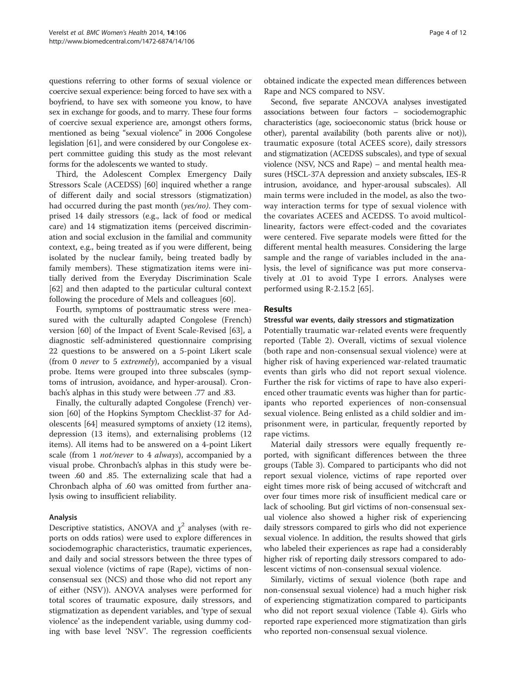questions referring to other forms of sexual violence or coercive sexual experience: being forced to have sex with a boyfriend, to have sex with someone you know, to have sex in exchange for goods, and to marry. These four forms of coercive sexual experience are, amongst others forms, mentioned as being "sexual violence" in 2006 Congolese legislation [[61](#page-11-0)], and were considered by our Congolese expert committee guiding this study as the most relevant forms for the adolescents we wanted to study.

Third, the Adolescent Complex Emergency Daily Stressors Scale (ACEDSS) [[60](#page-11-0)] inquired whether a range of different daily and social stressors (stigmatization) had occurred during the past month (yes/no). They comprised 14 daily stressors (e.g., lack of food or medical care) and 14 stigmatization items (perceived discrimination and social exclusion in the familial and community context, e.g., being treated as if you were different, being isolated by the nuclear family, being treated badly by family members). These stigmatization items were initially derived from the Everyday Discrimination Scale [[62\]](#page-11-0) and then adapted to the particular cultural context following the procedure of Mels and colleagues [[60\]](#page-11-0).

Fourth, symptoms of posttraumatic stress were measured with the culturally adapted Congolese (French) version [[60](#page-11-0)] of the Impact of Event Scale-Revised [[63\]](#page-11-0), a diagnostic self-administered questionnaire comprising 22 questions to be answered on a 5-point Likert scale (from 0 never to 5 extremely), accompanied by a visual probe. Items were grouped into three subscales (symptoms of intrusion, avoidance, and hyper-arousal). Cronbach's alphas in this study were between .77 and .83.

Finally, the culturally adapted Congolese (French) version [\[60\]](#page-11-0) of the Hopkins Symptom Checklist-37 for Adolescents [\[64\]](#page-11-0) measured symptoms of anxiety (12 items), depression (13 items), and externalising problems (12 items). All items had to be answered on a 4-point Likert scale (from 1 *not/never* to 4 *always*), accompanied by a visual probe. Chronbach's alphas in this study were between .60 and .85. The externalizing scale that had a Chronbach alpha of .60 was omitted from further analysis owing to insufficient reliability.

## Analysis

Descriptive statistics, ANOVA and  $\chi^2$  analyses (with reports on odds ratios) were used to explore differences in sociodemographic characteristics, traumatic experiences, and daily and social stressors between the three types of sexual violence (victims of rape (Rape), victims of nonconsensual sex (NCS) and those who did not report any of either (NSV)). ANOVA analyses were performed for total scores of traumatic exposure, daily stressors, and stigmatization as dependent variables, and 'type of sexual violence' as the independent variable, using dummy coding with base level 'NSV'. The regression coefficients

obtained indicate the expected mean differences between Rape and NCS compared to NSV.

Second, five separate ANCOVA analyses investigated associations between four factors – sociodemographic characteristics (age, socioeconomic status (brick house or other), parental availability (both parents alive or not)), traumatic exposure (total ACEES score), daily stressors and stigmatization (ACEDSS subscales), and type of sexual violence (NSV, NCS and Rape) – and mental health measures (HSCL-37A depression and anxiety subscales, IES-R intrusion, avoidance, and hyper-arousal subscales). All main terms were included in the model, as also the twoway interaction terms for type of sexual violence with the covariates ACEES and ACEDSS. To avoid multicollinearity, factors were effect-coded and the covariates were centered. Five separate models were fitted for the different mental health measures. Considering the large sample and the range of variables included in the analysis, the level of significance was put more conservatively at .01 to avoid Type I errors. Analyses were performed using R-2.15.2 [[65](#page-11-0)].

## Results

## Stressful war events, daily stressors and stigmatization

Potentially traumatic war-related events were frequently reported (Table [2](#page-4-0)). Overall, victims of sexual violence (both rape and non-consensual sexual violence) were at higher risk of having experienced war-related traumatic events than girls who did not report sexual violence. Further the risk for victims of rape to have also experienced other traumatic events was higher than for participants who reported experiences of non-consensual sexual violence. Being enlisted as a child soldier and imprisonment were, in particular, frequently reported by rape victims.

Material daily stressors were equally frequently reported, with significant differences between the three groups (Table [3\)](#page-4-0). Compared to participants who did not report sexual violence, victims of rape reported over eight times more risk of being accused of witchcraft and over four times more risk of insufficient medical care or lack of schooling. But girl victims of non-consensual sexual violence also showed a higher risk of experiencing daily stressors compared to girls who did not experience sexual violence. In addition, the results showed that girls who labeled their experiences as rape had a considerably higher risk of reporting daily stressors compared to adolescent victims of non-consensual sexual violence.

Similarly, victims of sexual violence (both rape and non-consensual sexual violence) had a much higher risk of experiencing stigmatization compared to participants who did not report sexual violence (Table [4\)](#page-5-0). Girls who reported rape experienced more stigmatization than girls who reported non-consensual sexual violence.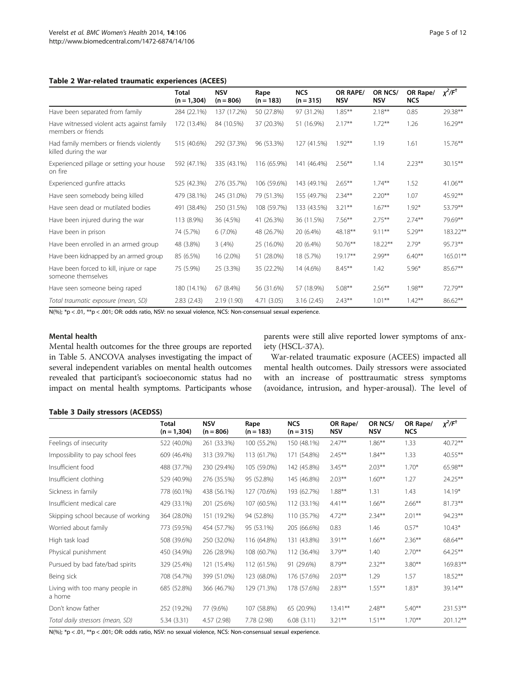<span id="page-4-0"></span>

| Table 2 War-related traumatic experiences (ACEES) |  |  |  |
|---------------------------------------------------|--|--|--|
|---------------------------------------------------|--|--|--|

|                                                                  | <b>Total</b><br>$(n = 1,304)$ | <b>NSV</b><br>$(n = 806)$ | Rape<br>$(n = 183)$ | <b>NCS</b><br>$(n = 315)$ | OR RAPE/<br><b>NSV</b> | OR NCS/<br><b>NSV</b> | OR Rape/<br><b>NCS</b> | $\chi^2/F^+$ |
|------------------------------------------------------------------|-------------------------------|---------------------------|---------------------|---------------------------|------------------------|-----------------------|------------------------|--------------|
| Have been separated from family                                  | 284 (22.1%)                   | 137 (17.2%)               | 50 (27.8%)          | 97 (31.2%)                | $1.85***$              | $2.18***$             | 0.85                   | 29.38**      |
| Have witnessed violent acts against family<br>members or friends | 172 (13.4%)                   | 84 (10.5%)                | 37 (20.3%)          | 51 (16.9%)                | $2.17***$              | $1.72***$             | 1.26                   | $16.29**$    |
| Had family members or friends violently<br>killed during the war | 515 (40.6%)                   | 292 (37.3%)               | 96 (53.3%)          | 127 (41.5%)               | $1.92***$              | 1.19                  | 1.61                   | $15.76***$   |
| Experienced pillage or setting your house<br>on fire             | 592 (47.1%)                   | 335 (43.1%)               | 116 (65.9%)         | 141 (46.4%)               | $2.56***$              | 1.14                  | $2.23***$              | $30.15***$   |
| Experienced gunfire attacks                                      | 525 (42.3%)                   | 276 (35.7%)               | 106 (59.6%)         | 143 (49.1%)               | $2.65***$              | $1.74***$             | 1.52                   | $41.06***$   |
| Have seen somebody being killed                                  | 479 (38.1%)                   | 245 (31.0%)               | 79 (51.3%)          | 155 (49.7%)               | $2.34***$              | $2.20**$              | 1.07                   | 45.92**      |
| Have seen dead or mutilated bodies                               | 491 (38.4%)                   | 250 (31.5%)               | 108 (59.7%)         | 133 (43.5%)               | $3.21***$              | $1.67***$             | $1.92*$                | 53.79**      |
| Have been injured during the war                                 | 113 (8.9%)                    | 36 (4.5%)                 | 41 (26.3%)          | 36 (11.5%)                | $7.56***$              | $2.75***$             | $2.74***$              | 79.69**      |
| Have been in prison                                              | 74 (5.7%)                     | $6(7.0\%)$                | 48 (26.7%)          | 20 (6.4%)                 | 48.18**                | $9.11***$             | $5.29***$              | 183.22**     |
| Have been enrolled in an armed group                             | 48 (3.8%)                     | 3(.4%)                    | 25 (16.0%)          | 20 (6.4%)                 | 50.76**                | $18.22***$            | $2.79*$                | 95.73**      |
| Have been kidnapped by an armed group                            | 85 (6.5%)                     | 16 (2.0%)                 | 51 (28.0%)          | 18 (5.7%)                 | $19.17**$              | $2.99**$              | $6.40**$               | $165.01**$   |
| Have been forced to kill, injure or rape<br>someone themselves   | 75 (5.9%)                     | 25 (3.3%)                 | 35 (22.2%)          | 14 (4.6%)                 | $8.45***$              | 1.42                  | $5.96*$                | 85.67**      |
| Have seen someone being raped                                    | 180 (14.1%)                   | 67 (8.4%)                 | 56 (31.6%)          | 57 (18.9%)                | $5.08***$              | $2.56***$             | $1.98***$              | 72.79**      |
| Total traumatic exposure (mean, SD)                              | 2.83(2.43)                    | 2.19 (1.90)               | 4.71(3.05)          | 3.16(2.45)                | $2.43***$              | $1.01***$             | $1.42***$              | 86.62**      |
|                                                                  |                               |                           |                     |                           |                        |                       |                        |              |

N(%); \*p < .01, \*\*p < .001; OR: odds ratio, NSV: no sexual violence, NCS: Non-consensual sexual experience.

## Mental health

Mental health outcomes for the three groups are reported in Table [5](#page-5-0). ANCOVA analyses investigating the impact of several independent variables on mental health outcomes revealed that participant's socioeconomic status had no impact on mental health symptoms. Participants whose

parents were still alive reported lower symptoms of anxiety (HSCL-37A).

War-related traumatic exposure (ACEES) impacted all mental health outcomes. Daily stressors were associated with an increase of posttraumatic stress symptoms (avoidance, intrusion, and hyper-arousal). The level of

#### Table 3 Daily stressors (ACEDSS)

|                                          | Total<br>$(n = 1,304)$ | <b>NSV</b><br>$(n = 806)$ | Rape<br>$(n = 183)$ | <b>NCS</b><br>$(n = 315)$ | OR Rape/<br><b>NSV</b> | OR NCS/<br><b>NSV</b> | OR Rape/<br><b>NCS</b> | $\chi^2/F^+$ |
|------------------------------------------|------------------------|---------------------------|---------------------|---------------------------|------------------------|-----------------------|------------------------|--------------|
| Feelings of insecurity                   | 522 (40.0%)            | 261 (33.3%)               | 100 (55.2%)         | 150 (48.1%)               | $2.47**$               | $1.86***$             | 1.33                   | $40.72***$   |
| Impossibility to pay school fees         | 609 (46.4%)            | 313 (39.7%)               | 113 (61.7%)         | 171 (54.8%)               | $2.45***$              | $1.84***$             | 1.33                   | $40.55***$   |
| Insufficient food                        | 488 (37.7%)            | 230 (29.4%)               | 105 (59.0%)         | 142 (45.8%)               | $3.45***$              | $2.03***$             | $1.70*$                | 65.98**      |
| Insufficient clothing                    | 529 (40.9%)            | 276 (35.5%)               | 95 (52.8%)          | 145 (46.8%)               | $2.03***$              | $1.60***$             | 1.27                   | 24.25**      |
| Sickness in family                       | 778 (60.1%)            | 438 (56.1%)               | 127 (70.6%)         | 193 (62.7%)               | $1.88***$              | 1.31                  | 1.43                   | $14.19*$     |
| Insufficient medical care                | 429 (33.1%)            | 201 (25.6%)               | 107 (60.5%)         | 112 (33.1%)               | $4.41***$              | $1.66***$             | $2.66***$              | $81.73***$   |
| Skipping school because of working       | 364 (28.0%)            | 151 (19.2%)               | 94 (52.8%)          | 110 (35.7%)               | $4.72***$              | $2.34***$             | $2.01***$              | 94.23**      |
| Worried about family                     | 773 (59.5%)            | 454 (57.7%)               | 95 (53.1%)          | 205 (66.6%)               | 0.83                   | 1.46                  | $0.57*$                | $10.43*$     |
| High task load                           | 508 (39.6%)            | 250 (32.0%)               | 116 (64.8%)         | 131 (43.8%)               | $3.91***$              | $1.66***$             | $2.36***$              | 68.64**      |
| Physical punishment                      | 450 (34.9%)            | 226 (28.9%)               | 108 (60.7%)         | 112 (36.4%)               | $3.79***$              | 1.40                  | $2.70***$              | $64.25***$   |
| Pursued by bad fate/bad spirits          | 329 (25.4%)            | 121 (15.4%)               | 112 (61.5%)         | 91 (29.6%)                | $8.79***$              | $2.32***$             | $3.80**$               | 169.83**     |
| Being sick                               | 708 (54.7%)            | 399 (51.0%)               | 123 (68.0%)         | 176 (57.6%)               | $2.03***$              | 1.29                  | 1.57                   | $18.52***$   |
| Living with too many people in<br>a home | 685 (52.8%)            | 366 (46.7%)               | 129 (71.3%)         | 178 (57.6%)               | $2.83***$              | $1.55***$             | $1.83*$                | $39.14***$   |
| Don't know father                        | 252 (19.2%)            | 77 (9.6%)                 | 107 (58.8%)         | 65 (20.9%)                | $13.41***$             | $2.48***$             | $5.40***$              | 231.53**     |
| Total daily stressors (mean, SD)         | 5.34(3.31)             | 4.57 (2.98)               | 7.78 (2.98)         | 6.08(3.11)                | $3.21***$              | $1.51***$             | $1.70***$              | $201.12***$  |

N(%); \*p < .01, \*\*p < .001; OR: odds ratio, NSV: no sexual violence, NCS: Non-consensual sexual experience.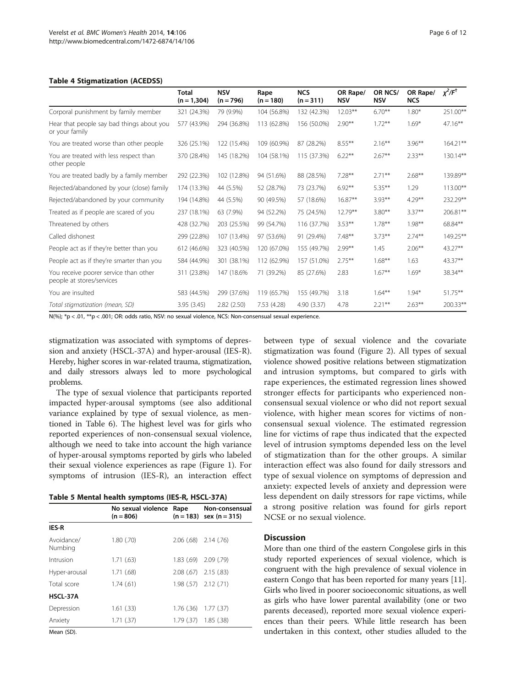#### <span id="page-5-0"></span>Table 4 Stigmatization (ACEDSS)

|                                                                    | <b>Total</b>  | <b>NSV</b><br>Rape | <b>NCS</b>  | OR Rape/    | OR NCS/    | OR Rape/   | $\chi^2/F^+$ |             |
|--------------------------------------------------------------------|---------------|--------------------|-------------|-------------|------------|------------|--------------|-------------|
|                                                                    | $(n = 1,304)$ | $(n = 796)$        | $(n = 180)$ | $(n = 311)$ | <b>NSV</b> | <b>NSV</b> | <b>NCS</b>   |             |
| Corporal punishment by family member                               | 321 (24.3%)   | 79 (9.9%)          | 104 (56.8%) | 132 (42.3%) | $12.03***$ | $6.70***$  | $1.80*$      | 251.00**    |
| Hear that people say bad things about you<br>or your family        | 577 (43.9%)   | 294 (36.8%)        | 113 (62.8%) | 156 (50.0%) | $2.90**$   | $1.72***$  | $1.69*$      | $47.16***$  |
| You are treated worse than other people                            | 326 (25.1%)   | 122 (15.4%)        | 109 (60.9%) | 87 (28.2%)  | $8.55***$  | $2.16***$  | $3.96***$    | $164.21***$ |
| You are treated with less respect than<br>other people             | 370 (28.4%)   | 145 (18.2%)        | 104 (58.1%) | 115 (37.3%) | $6.22***$  | $2.67***$  | $2.33***$    | 130.14**    |
| You are treated badly by a family member                           | 292 (22.3%)   | 102 (12.8%)        | 94 (51.6%)  | 88 (28.5%)  | $7.28**$   | $2.71***$  | $2.68***$    | 139.89**    |
| Rejected/abandoned by your (close) family                          | 174 (13.3%)   | 44 (5.5%)          | 52 (28.7%)  | 73 (23.7%)  | $6.92**$   | $5.35***$  | 1.29         | 113.00**    |
| Rejected/abandoned by your community                               | 194 (14.8%)   | 44 (5.5%)          | 90 (49.5%)  | 57 (18.6%)  | $16.87***$ | $3.93***$  | $4.29***$    | 232.29**    |
| Treated as if people are scared of you                             | 237 (18.1%)   | 63 (7.9%)          | 94 (52.2%)  | 75 (24.5%)  | $12.79***$ | $3.80**$   | $3.37***$    | 206.81**    |
| Threatened by others                                               | 428 (32.7%)   | 203 (25.5%)        | 99 (54.7%)  | 116 (37.7%) | $3.53***$  | $1.78***$  | $1.98***$    | 68.84**     |
| Called dishonest                                                   | 299 (22.8%)   | 107 (13.4%)        | 97 (53.6%)  | 91 (29.4%)  | $7.48**$   | $3.73***$  | $2.74***$    | 149.25**    |
| People act as if they're better than you                           | 612 (46.6%)   | 323 (40.5%)        | 120 (67.0%) | 155 (49.7%) | $2.99***$  | 1.45       | $2.06***$    | 43.27**     |
| People act as if they're smarter than you                          | 584 (44.9%)   | 301 (38.1%)        | 112 (62.9%) | 157 (51.0%) | $2.75***$  | $1.68***$  | 1.63         | 43.37**     |
| You receive poorer service than other<br>people at stores/services | 311 (23.8%)   | 147 (18.6%)        | 71 (39.2%)  | 85 (27.6%)  | 2.83       | $1.67***$  | $1.69*$      | 38.34**     |
| You are insulted                                                   | 583 (44.5%)   | 299 (37.6%)        | 119 (65.7%) | 155 (49.7%) | 3.18       | $1.64***$  | $1.94*$      | $51.75***$  |
| Total stigmatization (mean, SD)                                    | 3.95(3.45)    | 2.82(2.50)         | 7.53 (4.28) | 4.90(3.37)  | 4.78       | $2.21***$  | $2.63***$    | 200.33**    |
|                                                                    |               |                    |             |             |            |            |              |             |

N(%); \*p < .01, \*\*p < .001; OR: odds ratio, NSV: no sexual violence, NCS: Non-consensual sexual experience.

stigmatization was associated with symptoms of depression and anxiety (HSCL-37A) and hyper-arousal (IES-R). Hereby, higher scores in war-related trauma, stigmatization, and daily stressors always led to more psychological problems.

The type of sexual violence that participants reported impacted hyper-arousal symptoms (see also additional variance explained by type of sexual violence, as mentioned in Table [6](#page-6-0)). The highest level was for girls who reported experiences of non-consensual sexual violence, although we need to take into account the high variance of hyper-arousal symptoms reported by girls who labeled their sexual violence experiences as rape (Figure [1\)](#page-6-0). For symptoms of intrusion (IES-R), an interaction effect

|  | Table 5 Mental health symptoms (IES-R, HSCL-37A) |
|--|--------------------------------------------------|
|--|--------------------------------------------------|

|                       | No sexual violence Rape<br>$(n = 806)$ | $(n = 183)$             | Non-consensual<br>sex $(n = 315)$ |
|-----------------------|----------------------------------------|-------------------------|-----------------------------------|
| <b>IES-R</b>          |                                        |                         |                                   |
| Avoidance/<br>Numbing | 1.80(70)                               | $2.06(.68)$ $2.14(.76)$ |                                   |
| Intrusion             | 1.71(63)                               |                         | $1.83(.69)$ $2.09(.79)$           |
| Hyper-arousal         | 1.71(68)                               | $2.08(.67)$ $2.15(.83)$ |                                   |
| Total score           | 1.74(61)                               |                         | $1.98(.57)$ $2.12(.71)$           |
| HSCL-37A              |                                        |                         |                                   |
| Depression            | 1.61(.33)                              |                         | $1.76(.36)$ $1.77(.37)$           |
| Anxiety               | 1.71(.37)                              |                         | $1.79(.37)$ $1.85(.38)$           |
|                       |                                        |                         |                                   |

Mean (SD).

between type of sexual violence and the covariate stigmatization was found (Figure [2](#page-7-0)). All types of sexual violence showed positive relations between stigmatization and intrusion symptoms, but compared to girls with rape experiences, the estimated regression lines showed stronger effects for participants who experienced nonconsensual sexual violence or who did not report sexual violence, with higher mean scores for victims of nonconsensual sexual violence. The estimated regression line for victims of rape thus indicated that the expected level of intrusion symptoms depended less on the level of stigmatization than for the other groups. A similar interaction effect was also found for daily stressors and type of sexual violence on symptoms of depression and anxiety: expected levels of anxiety and depression were less dependent on daily stressors for rape victims, while a strong positive relation was found for girls report NCSE or no sexual violence.

#### **Discussion**

More than one third of the eastern Congolese girls in this study reported experiences of sexual violence, which is congruent with the high prevalence of sexual violence in eastern Congo that has been reported for many years [[11](#page-10-0)]. Girls who lived in poorer socioeconomic situations, as well as girls who have lower parental availability (one or two parents deceased), reported more sexual violence experiences than their peers. While little research has been undertaken in this context, other studies alluded to the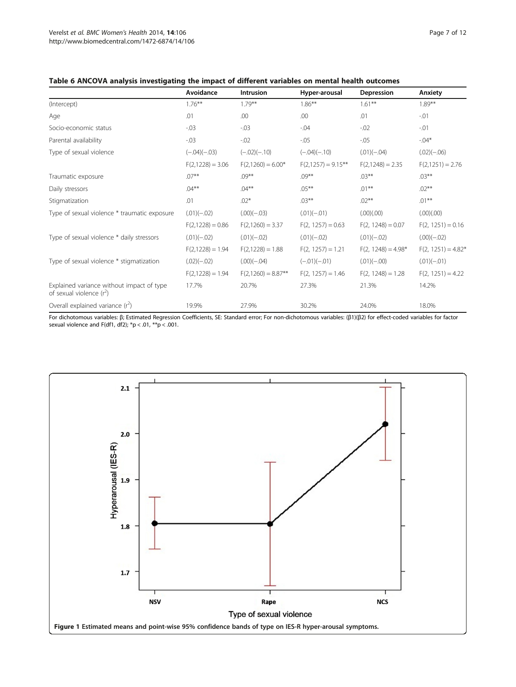|                                                                         | Avoidance          | <b>Intrusion</b>     | Hyper-arousal         | Depression           | Anxiety              |
|-------------------------------------------------------------------------|--------------------|----------------------|-----------------------|----------------------|----------------------|
| (Intercept)                                                             | $1.76***$          | $1.79***$            | $1.86***$             | $1.61***$            | $1.89***$            |
| Age                                                                     | .01                | .00                  | .00                   | .01                  | $-.01$               |
| Socio-economic status                                                   | $-0.03$            | $-.03$               | $-0.04$               | $-0.02$              | $-.01$               |
| Parental availability                                                   | $-0.03$            | $-0.02$              | $-0.05$               | $-0.05$              | $-0.04*$             |
| Type of sexual violence                                                 | $(-.04)(-.03)$     | $(-.02)(-.10)$       | $(-.04)(-.10)$        | $(.01)(-.04)$        | $(.02)(-.06)$        |
|                                                                         | $F(2,1228) = 3.06$ | $F(2,1260) = 6.00*$  | $F(2,1257) = 9.15***$ | $F(2,1248) = 2.35$   | $F(2,1251) = 2.76$   |
| Traumatic exposure                                                      | $.07***$           | $.09***$             | $.09***$              | $.03***$             | $.03***$             |
| Daily stressors                                                         | $.04***$           | $.04***$             | $.05***$              | $.01***$             | $.02***$             |
| Stigmatization                                                          | .01                | $.02*$               | $.03***$              | $.02***$             | $.01***$             |
| Type of sexual violence * traumatic exposure                            | $(.01)(-.02)$      | $(.00)(-.03)$        | $(.01)(-.01)$         | (0.00)(0.00)         | (0.00)(0.00)         |
|                                                                         | $F(2,1228) = 0.86$ | $F(2,1260) = 3.37$   | $F(2, 1257) = 0.63$   | $F(2, 1248) = 0.07$  | $F(2, 1251) = 0.16$  |
| Type of sexual violence * daily stressors                               | $(.01)(-.02)$      | $(.01)(-.02)$        | $(.01)(-.02)$         | $(.01)(-.02)$        | $(.00)(-.02)$        |
|                                                                         | $F(2,1228) = 1.94$ | $F(2,1228) = 1.88$   | $F(2, 1257) = 1.21$   | $F(2, 1248) = 4.98*$ | $F(2, 1251) = 4.82*$ |
| Type of sexual violence * stigmatization                                | $(.02)(-.02)$      | $(.00)(-.04)$        | $(-.01)(-.01)$        | $(.01)(-.00)$        | $(.01)(-.01)$        |
|                                                                         | $F(2,1228) = 1.94$ | $F(2,1260) = 8.87**$ | $F(2, 1257) = 1.46$   | $F(2, 1248) = 1.28$  | $F(2, 1251) = 4.22$  |
| Explained variance without impact of type<br>of sexual violence $(r^2)$ | 17.7%              | 20.7%                | 27.3%                 | 21.3%                | 14.2%                |
| Overall explained variance (r <sup>2</sup> )                            | 19.9%              | 27.9%                | 30.2%                 | 24.0%                | 18.0%                |

## <span id="page-6-0"></span>Table 6 ANCOVA analysis investigating the impact of different variables on mental health outcomes

For dichotomous variables: β; Estimated Regression Coefficients, SE: Standard error; For non-dichotomous variables: (β1)(β2) for effect-coded variables for factor sexual violence and F(df1, df2);  $*p < .01$ ,  $**p < .001$ .

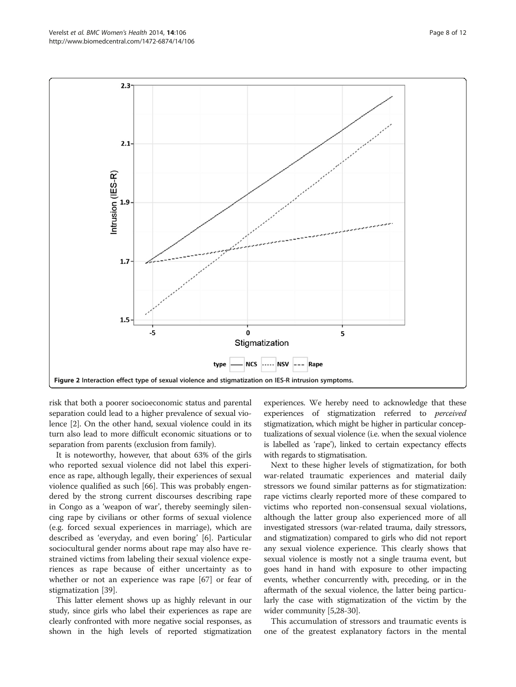<span id="page-7-0"></span>

risk that both a poorer socioeconomic status and parental separation could lead to a higher prevalence of sexual violence [\[2\]](#page-10-0). On the other hand, sexual violence could in its turn also lead to more difficult economic situations or to separation from parents (exclusion from family).

It is noteworthy, however, that about 63% of the girls who reported sexual violence did not label this experience as rape, although legally, their experiences of sexual violence qualified as such [[66\]](#page-11-0). This was probably engendered by the strong current discourses describing rape in Congo as a 'weapon of war', thereby seemingly silencing rape by civilians or other forms of sexual violence (e.g. forced sexual experiences in marriage), which are described as 'everyday, and even boring' [\[6](#page-10-0)]. Particular sociocultural gender norms about rape may also have restrained victims from labeling their sexual violence experiences as rape because of either uncertainty as to whether or not an experience was rape [\[67](#page-11-0)] or fear of stigmatization [\[39](#page-10-0)].

This latter element shows up as highly relevant in our study, since girls who label their experiences as rape are clearly confronted with more negative social responses, as shown in the high levels of reported stigmatization experiences. We hereby need to acknowledge that these experiences of stigmatization referred to perceived stigmatization, which might be higher in particular conceptualizations of sexual violence (i.e. when the sexual violence is labelled as 'rape'), linked to certain expectancy effects with regards to stigmatisation.

Next to these higher levels of stigmatization, for both war-related traumatic experiences and material daily stressors we found similar patterns as for stigmatization: rape victims clearly reported more of these compared to victims who reported non-consensual sexual violations, although the latter group also experienced more of all investigated stressors (war-related trauma, daily stressors, and stigmatization) compared to girls who did not report any sexual violence experience. This clearly shows that sexual violence is mostly not a single trauma event, but goes hand in hand with exposure to other impacting events, whether concurrently with, preceding, or in the aftermath of the sexual violence, the latter being particularly the case with stigmatization of the victim by the wider community [\[5,28-30\]](#page-10-0).

This accumulation of stressors and traumatic events is one of the greatest explanatory factors in the mental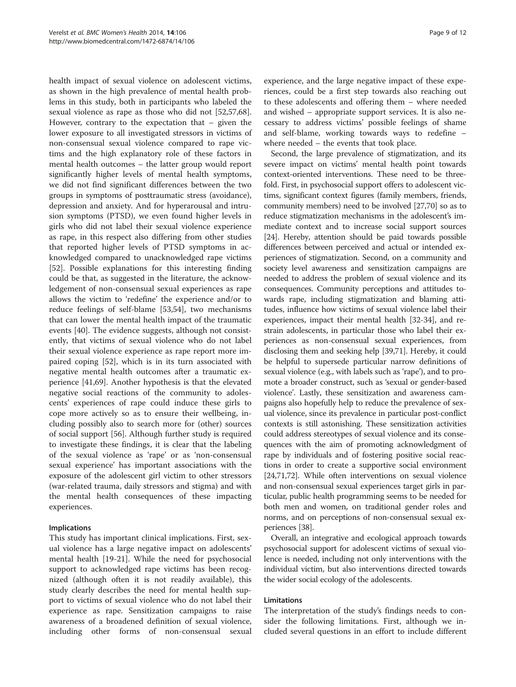health impact of sexual violence on adolescent victims, as shown in the high prevalence of mental health problems in this study, both in participants who labeled the sexual violence as rape as those who did not [\[52,57,68](#page-11-0)]. However, contrary to the expectation that – given the lower exposure to all investigated stressors in victims of non-consensual sexual violence compared to rape victims and the high explanatory role of these factors in mental health outcomes – the latter group would report significantly higher levels of mental health symptoms, we did not find significant differences between the two groups in symptoms of posttraumatic stress (avoidance), depression and anxiety. And for hyperarousal and intrusion symptoms (PTSD), we even found higher levels in girls who did not label their sexual violence experience as rape, in this respect also differing from other studies that reported higher levels of PTSD symptoms in acknowledged compared to unacknowledged rape victims [[52\]](#page-11-0). Possible explanations for this interesting finding could be that, as suggested in the literature, the acknowledgement of non-consensual sexual experiences as rape allows the victim to 'redefine' the experience and/or to reduce feelings of self-blame [[53,54\]](#page-11-0), two mechanisms that can lower the mental health impact of the traumatic events [[40\]](#page-10-0). The evidence suggests, although not consistently, that victims of sexual violence who do not label their sexual violence experience as rape report more impaired coping [\[52\]](#page-11-0), which is in its turn associated with negative mental health outcomes after a traumatic experience [[41](#page-10-0),[69](#page-11-0)]. Another hypothesis is that the elevated negative social reactions of the community to adolescents' experiences of rape could induce these girls to cope more actively so as to ensure their wellbeing, including possibly also to search more for (other) sources of social support [[56\]](#page-11-0). Although further study is required to investigate these findings, it is clear that the labeling of the sexual violence as 'rape' or as 'non-consensual sexual experience' has important associations with the exposure of the adolescent girl victim to other stressors (war-related trauma, daily stressors and stigma) and with the mental health consequences of these impacting experiences.

## Implications

This study has important clinical implications. First, sexual violence has a large negative impact on adolescents' mental health [\[19](#page-10-0)-[21\]](#page-10-0). While the need for psychosocial support to acknowledged rape victims has been recognized (although often it is not readily available), this study clearly describes the need for mental health support to victims of sexual violence who do not label their experience as rape. Sensitization campaigns to raise awareness of a broadened definition of sexual violence, including other forms of non-consensual sexual

experience, and the large negative impact of these experiences, could be a first step towards also reaching out to these adolescents and offering them – where needed and wished – appropriate support services. It is also necessary to address victims' possible feelings of shame and self-blame, working towards ways to redefine – where needed – the events that took place.

Second, the large prevalence of stigmatization, and its severe impact on victims' mental health point towards context-oriented interventions. These need to be threefold. First, in psychosocial support offers to adolescent victims, significant context figures (family members, friends, community members) need to be involved [[27](#page-10-0)[,70](#page-11-0)] so as to reduce stigmatization mechanisms in the adolescent's immediate context and to increase social support sources [[24](#page-10-0)]. Hereby, attention should be paid towards possible differences between perceived and actual or intended experiences of stigmatization. Second, on a community and society level awareness and sensitization campaigns are needed to address the problem of sexual violence and its consequences. Community perceptions and attitudes towards rape, including stigmatization and blaming attitudes, influence how victims of sexual violence label their experiences, impact their mental health [\[32-34\]](#page-10-0), and restrain adolescents, in particular those who label their experiences as non-consensual sexual experiences, from disclosing them and seeking help [\[39,](#page-10-0)[71\]](#page-11-0). Hereby, it could be helpful to supersede particular narrow definitions of sexual violence (e.g., with labels such as 'rape'), and to promote a broader construct, such as 'sexual or gender-based violence'. Lastly, these sensitization and awareness campaigns also hopefully help to reduce the prevalence of sexual violence, since its prevalence in particular post-conflict contexts is still astonishing. These sensitization activities could address stereotypes of sexual violence and its consequences with the aim of promoting acknowledgment of rape by individuals and of fostering positive social reactions in order to create a supportive social environment [[24](#page-10-0)[,71,72\]](#page-11-0). While often interventions on sexual violence and non-consensual sexual experiences target girls in particular, public health programming seems to be needed for both men and women, on traditional gender roles and norms, and on perceptions of non-consensual sexual experiences [[38](#page-10-0)].

Overall, an integrative and ecological approach towards psychosocial support for adolescent victims of sexual violence is needed, including not only interventions with the individual victim, but also interventions directed towards the wider social ecology of the adolescents.

## Limitations

The interpretation of the study's findings needs to consider the following limitations. First, although we included several questions in an effort to include different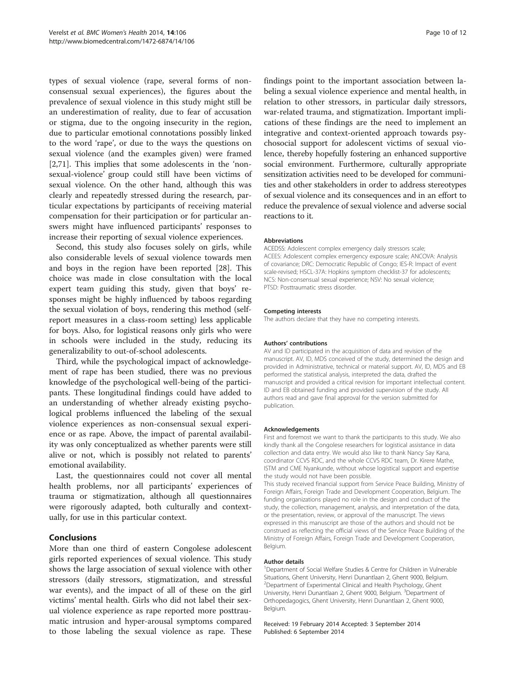types of sexual violence (rape, several forms of nonconsensual sexual experiences), the figures about the prevalence of sexual violence in this study might still be an underestimation of reality, due to fear of accusation or stigma, due to the ongoing insecurity in the region, due to particular emotional connotations possibly linked to the word 'rape', or due to the ways the questions on sexual violence (and the examples given) were framed [[2,](#page-10-0)[71\]](#page-11-0). This implies that some adolescents in the 'nonsexual-violence' group could still have been victims of sexual violence. On the other hand, although this was clearly and repeatedly stressed during the research, particular expectations by participants of receiving material compensation for their participation or for particular answers might have influenced participants' responses to increase their reporting of sexual violence experiences.

Second, this study also focuses solely on girls, while also considerable levels of sexual violence towards men and boys in the region have been reported [\[28](#page-10-0)]. This choice was made in close consultation with the local expert team guiding this study, given that boys' responses might be highly influenced by taboos regarding the sexual violation of boys, rendering this method (selfreport measures in a class-room setting) less applicable for boys. Also, for logistical reasons only girls who were in schools were included in the study, reducing its generalizability to out-of-school adolescents.

Third, while the psychological impact of acknowledgement of rape has been studied, there was no previous knowledge of the psychological well-being of the participants. These longitudinal findings could have added to an understanding of whether already existing psychological problems influenced the labeling of the sexual violence experiences as non-consensual sexual experience or as rape. Above, the impact of parental availability was only conceptualized as whether parents were still alive or not, which is possibly not related to parents' emotional availability.

Last, the questionnaires could not cover all mental health problems, nor all participants' experiences of trauma or stigmatization, although all questionnaires were rigorously adapted, both culturally and contextually, for use in this particular context.

## Conclusions

More than one third of eastern Congolese adolescent girls reported experiences of sexual violence. This study shows the large association of sexual violence with other stressors (daily stressors, stigmatization, and stressful war events), and the impact of all of these on the girl victims' mental health. Girls who did not label their sexual violence experience as rape reported more posttraumatic intrusion and hyper-arousal symptoms compared to those labeling the sexual violence as rape. These

findings point to the important association between labeling a sexual violence experience and mental health, in relation to other stressors, in particular daily stressors, war-related trauma, and stigmatization. Important implications of these findings are the need to implement an integrative and context-oriented approach towards psychosocial support for adolescent victims of sexual violence, thereby hopefully fostering an enhanced supportive social environment. Furthermore, culturally appropriate sensitization activities need to be developed for communities and other stakeholders in order to address stereotypes of sexual violence and its consequences and in an effort to reduce the prevalence of sexual violence and adverse social reactions to it.

#### Abbreviations

ACEDSS: Adolescent complex emergency daily stressors scale; ACEES: Adolescent complex emergency exposure scale; ANCOVA: Analysis of covariance; DRC: Democratic Republic of Congo; IES-R: Impact of event scale-revised; HSCL-37A: Hopkins symptom checklist-37 for adolescents; NCS: Non-consensual sexual experience; NSV: No sexual violence; PTSD: Posttraumatic stress disorder.

#### Competing interests

The authors declare that they have no competing interests.

#### Authors' contributions

AV and ID participated in the acquisition of data and revision of the manuscript. AV, ID, MDS conceived of the study, determined the design and provided in Administrative, technical or material support. AV, ID, MDS and EB performed the statistical analysis, interpreted the data, drafted the manuscript and provided a critical revision for important intellectual content. ID and EB obtained funding and provided supervision of the study. All authors read and gave final approval for the version submitted for publication.

#### Acknowledgements

First and foremost we want to thank the participants to this study. We also kindly thank all the Congolese researchers for logistical assistance in data collection and data entry. We would also like to thank Nancy Say Kana, coordinator CCVS RDC, and the whole CCVS RDC team, Dr. Kirere Mathe, ISTM and CME Nyankunde, without whose logistical support and expertise the study would not have been possible.

This study received financial support from Service Peace Building, Ministry of Foreign Affairs, Foreign Trade and Development Cooperation, Belgium. The funding organizations played no role in the design and conduct of the study, the collection, management, analysis, and interpretation of the data, or the presentation, review, or approval of the manuscript. The views expressed in this manuscript are those of the authors and should not be construed as reflecting the official views of the Service Peace Building of the Ministry of Foreign Affairs, Foreign Trade and Development Cooperation, Belgium.

#### Author details

<sup>1</sup>Department of Social Welfare Studies & Centre for Children in Vulnerable Situations, Ghent University, Henri Dunantlaan 2, Ghent 9000, Belgium. 2 Department of Experimental Clinical and Health Psychology, Ghent University, Henri Dunantlaan 2, Ghent 9000, Belgium. <sup>3</sup>Department of Orthopedagogics, Ghent University, Henri Dunantlaan 2, Ghent 9000, Belgium.

Received: 19 February 2014 Accepted: 3 September 2014 Published: 6 September 2014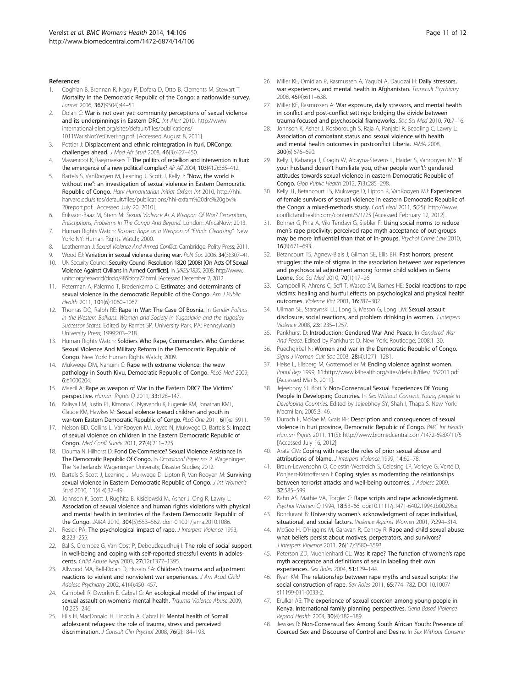#### <span id="page-10-0"></span>References

- 1. Coghlan B, Brennan R, Ngoy P, Dofara D, Otto B, Clements M, Stewart T: Mortality in the Democratic Republic of the Congo: a nationwide survey. Lancet 2006, 367(9504):44–51.
- 2. Dolan C: War is not over yet: community perceptions of sexual violence and its underpinnings in Eastern DRC. Int Alert 2010, [http://www.](http://www.international-alert.org/sites/default/files/publications/1011WarIsNotYetOverEng.pdf) [international-alert.org/sites/default/files/publications/](http://www.international-alert.org/sites/default/files/publications/1011WarIsNotYetOverEng.pdf) [1011WarIsNotYetOverEng.pdf](http://www.international-alert.org/sites/default/files/publications/1011WarIsNotYetOverEng.pdf). [Accessed August 8, 2011].
- 3. Pottier J: Displacement and ethnic reintegration in Ituri, DRCongo: challenges ahead. J Mod Afr Stud 2008, 46(3):427–450.
- Vlassenroot K, Raeymaekers T: The politics of rebellion and intervention in Ituri: the emergence of a new political complex? Afr Aff 2004, 103(412):385–412.
- 5. Bartels S, VanRooyen M, Leaning J, Scott J, Kelly J: "Now, the world is without me": an investigation of sexual violence in Eastern Democratic Republic of Congo. Harv Humanitarian Initiat Oxfam Int 2010, [http://hhi.](http://hhi.harvard.edu/sites/default/files/publications/hhi-oxfam%20drc%20gbv%20report.pdf) [harvard.edu/sites/default/files/publications/hhi-oxfam%20drc%20gbv%](http://hhi.harvard.edu/sites/default/files/publications/hhi-oxfam%20drc%20gbv%20report.pdf) [20report.pdf.](http://hhi.harvard.edu/sites/default/files/publications/hhi-oxfam%20drc%20gbv%20report.pdf) [Accessed July 20, 2010].
- Eriksson-Baaz M, Stern M: Sexual Violence As A Weapon Of War? Perceptions, Prescriptions, Problems In The Congo And Beyond. London: AfricaNow; 2013.
- 7. Human Rights Watch: Kosovo: Rape as a Weapon of "Ethnic Cleansing". New York: NY: Human Rights Watch: 2000.
- 8. Leatherman J: Sexual Violence And Armed Conflict. Cambridge: Polity Press; 2011.
- Wood EJ: Variation in sexual violence during war. Polit Soc 2006, 34(3):307-41.
- 10. UN Security Council: Security Council Resolution 1820 (2008) [On Acts Of Sexual Violence Against Civilians In Armed Conflicts]. In S/RES/1820. 2008. [http://www.](http://www.unhcr.org/refworld/docid/485bbca72.html) [unhcr.org/refworld/docid/485bbca72.html](http://www.unhcr.org/refworld/docid/485bbca72.html). [Accessed December 2, 2012.
- 11. Peterman A, Palermo T, Bredenkamp C: Estimates and determinants of sexual violence in the democratic Republic of the Congo. Am J Public Health 2011, 101(6):1060–1067.
- 12. Thomas DQ, Ralph RE: Rape In War: The Case Of Bosnia. In Gender Politics in the Western Balkans. Women and Society in Yugoslavia and the Yugoslav Successor States. Edited by Ramet SP. University Park, PA: Pennsylvania University Press; 1999:203–218.
- 13. Human Rights Watch: Soldiers Who Rape, Commanders Who Condone: Sexual Violence And Military Reform in the Democratic Republic of Congo. New York: Human Rights Watch; 2009.
- 14. Mukwege DM, Nangini C: Rape with extreme violence: the wew pathology in South Kivu, Democratic Republic of Congo. PLoS Med 2009, 6:e1000204.
- 15. Maedl A: Rape as weapon of War in the Eastern DRC? The Victims' perspective. Human Rights Q 2011, 33:128–147.
- 16. Kalisya LM, Justin PL, Kimona C, Nyavandu K, Eugenie KM, Jonathan KML, Claude KM, Hawkes M: Sexual violence toward children and youth in war-torn Eastern Democratic Republic of Congo. PLoS One 2011, 6(1):e15911.
- 17. Nelson BD, Collins L, VanRooyen MJ, Joyce N, Mukwege D, Bartels S: Impact of sexual violence on children in the Eastern Democratic Republic of Congo. Med Confl Surviv 2011, 27(4):211–225.
- 18. Douma N, Hilhorst D: Fond De Commerce? Sexual Violence Assistance In The Democratic Republic Of Congo. In Occasional Paper no. 2. Wageningen, The Netherlands: Wageningen University, Disaster Studies; 2012.
- 19. Bartels S, Scott J, Leaning J, Mukwege D, Lipton R, Van Rooyen M: Surviving sexual violence in Eastern Democratic Republic of Congo. J Int Women's Stud 2010, 11(4 4):37–49.
- 20. Johnson K, Scott J, Rughita B, Kisielewski M, Asher J, Ong R, Lawry L: Association of sexual violence and human rights violations with physical and mental health in territories of the Eastern Democratic Republic of the Congo. JAMA 2010, 304(5):553–562. doi:10.1001/jama.2010.1086.
- 21. Resick PA: The psychological impact of rape. J Interpers Violence 1993, 8:223–255.
- 22. Bal S, Crombez G, Van Oost P, Deboudeaudhuij I: The role of social support in well-being and coping with self-reported stressful events in adolescents. Child Abuse Negl 2003, 27(12):1377–1395.
- 23. Allwood MA, Bell-Dolan D, Husain SA: Children's trauma and adjustment reactions to violent and nonviolent war experiences. J Am Acad Child Adolesc Psychiatry 2002, 41(4):450–457.
- 24. Campbell R, Dworkin E, Cabral G: An ecological model of the impact of sexual assault on women's mental health. Trauma Violence Abuse 2009,  $10:225-246$
- 25. Ellis H, MacDonald H, Lincoln A, Cabral H: Mental health of Somali adolescent refugees: the role of trauma, stress and perceived discrimination. J Consult Clin Psychol 2008, 76(2):184–193.
- 26. Miller KE, Omidian P, Rasmussen A, Yaqubi A, Daudzai H: Daily stressors, war experiences, and mental health in Afghanistan. Transcult Psychiatry 2008, 45(4):611–638.
- 27. Miller KE, Rasmussen A: War exposure, daily stressors, and mental health in conflict and post-conflict settings: bridging the divide between trauma-focused and psychosocial frameworks. Soc Sci Med 2010, 70:7–16.
- 28. Johnson K, Asher J, Rosborough S, Raja A, Panjabi R, Beadling C, Lawry L: Association of combatant status and sexual violence with health and mental health outcomes in postconflict Liberia. JAMA 2008, 300(6):676–690.
- 29. Kelly J, Kabanga J, Cragin W, Alcayna-Stevens L, Haider S, Vanrooyen MJ: 'If your husband doesn't humiliate you, other people won't': gendered attitudes towards sexual violence in eastern Democratic Republic of Congo. Glob Public Health 2012, 7(3):285–298.
- 30. Kelly JT, Betancourt TS, Mukwege D, Lipton R, VanRooyen MJ: Experiences of female survivors of sexual violence in eastern Democratic Republic of the Congo: a mixed-methods study. Confl Heal 2011, 5(25): [http://www.](http://www.conflictandhealth.com/content/5/1/25) [conflictandhealth.com/content/5/1/25](http://www.conflictandhealth.com/content/5/1/25) [Accessed February 12, 2012].
- 31. Bohner G, Pina A, Viki Tendayi G, Siebler F: Using social norms to reduce men's rape proclivity: perceived rape myth acceptance of out-groups may be more influential than that of in-groups. Psychol Crime Law 2010, 16(8):671–693.
- Betancourt TS, Agnew-Blais J, Gilman SE, Ellis BH: Past horrors, present struggles: the role of stigma in the association between war experiences and psychosocial adjustment among former child soldiers in Sierra Leone. Soc Sci Med 2010, 70(1):17–26.
- 33. Campbell R, Ahrens C, Sefl T, Wasco SM, Barnes HE: Social reactions to rape victims: healing and hurtful effects on psychological and physical health outcomes. Violence Vict 2001, 16:287–302.
- 34. Ullman SE, Starzynski LL, Long S, Mason G, Long LM: Sexual assault disclosure, social reactions, and problem drinking in women. J Interpers Violence 2008, 23:1235–1257.
- 35. Pankhurst D: Introduction: Gendered War And Peace. In Gendered War And Peace. Edited by Pankhurst D. New York: Routledge; 2008:1–30.
- 36. Puechgirbal N: Women and war in the Democratic Republic of Congo. Signs J Women Cult Soc 2003, 28(4):1271-1281.
- 37. Heise L, Ellsberg M, Gottemoeller M: Ending violence against women. Popul Rep 1999, 11:<http://www.k4health.org/sites/default/files/L%2011.pdf> [Accessed Mai 6, 2011].
- 38. Jejeebhoy SJ, Bott S: Non-Consensual Sexual Experiences Of Young People In Developing Countries. In Sex Without Consent: Young people in Developing Countries. Edited by Jejeebhoy SY, Shah I, Thapa S. New York: Macmillan; 2005:3–46.
- 39. Duroch F, McRae M, Grais RF: Description and consequences of sexual violence in Ituri province, Democratic Republic of Congo. BMC Int Health Human Rights 2011, 11(5):<http://www.biomedcentral.com/1472-698X/11/5> [Accessed July 16, 2012].
- 40. Arata CM: Coping with rape: the roles of prior sexual abuse and attributions of blame. J Interpers Violence 1999, 14:62–78.
- 41. Braun-Lewensohn O, Celestin-Westreich S, Celesing LP, Verleye G, Verté D, Ponjaert-Kristoffersen I: Coping styles as moderating the relationships between terrorist attacks and well-being outcomes. J Adolesc 2009, 32:585–599.
- 42. Kahn AS, Mathie VA, Torgler C: Rape scripts and rape acknowledgment. Psychol Women Q 1994, 18:53–66. doi:10.1111/j.1471-6402.1994.tb00296.x.
- 43. Bondurant B: University women's acknowledgment of rape: individual, situational, and social factors. Violence Against Women 2001, 7:294–314.
- 44. McGee H, O'Higgins M, Garavan R, Conroy R: Rape and child sexual abuse: what beliefs persist about motives, perpetrators, and survivors? J Interpers Violence 2011, 26(17):3580–3593.
- 45. Peterson ZD, Muehlenhard CL: Was it rape? The function of women's rape myth acceptance and definitions of sex in labeling their own experiences. Sex Roles 2004, 51:129–144.
- 46. Ryan KM: The relationship between rape myths and sexual scripts: the social construction of rape. Sex Roles 2011, 65:774–782. DOI 10.1007/ s11199-011-0033-2.
- 47. Erulkar AS: The experience of sexual coercion among young people in Kenya. International family planning perspectives. Gend Based Violence Reprod Health 2004, 30(4):182–189.
- 48. Jewkes R: Non-Consensual Sex Among South African Youth: Presence of Coerced Sex and Discourse of Control and Desire. In Sex Without Consent: